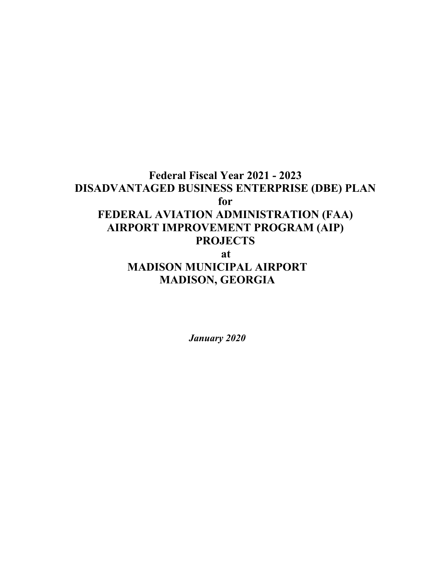# **Federal Fiscal Year 2021 - 2023 DISADVANTAGED BUSINESS ENTERPRISE (DBE) PLAN for FEDERAL AVIATION ADMINISTRATION (FAA) AIRPORT IMPROVEMENT PROGRAM (AIP) PROJECTS at MADISON MUNICIPAL AIRPORT MADISON, GEORGIA**

*January 2020*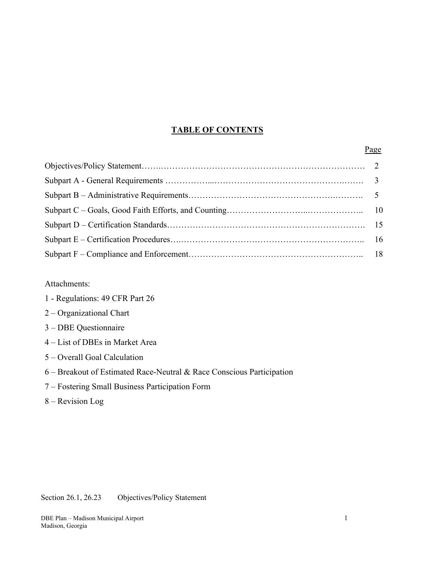# **TABLE OF CONTENTS**

### Page **Page**

Attachments:

|  | 1 - Regulations: 49 CFR Part 26 |
|--|---------------------------------|
|--|---------------------------------|

- 2 Organizational Chart
- 3 DBE Questionnaire
- 4 List of DBEs in Market Area
- 5 Overall Goal Calculation
- 6 Breakout of Estimated Race-Neutral & Race Conscious Participation
- 7 Fostering Small Business Participation Form
- 8 Revision Log

Section 26.1, 26.23 Objectives/Policy Statement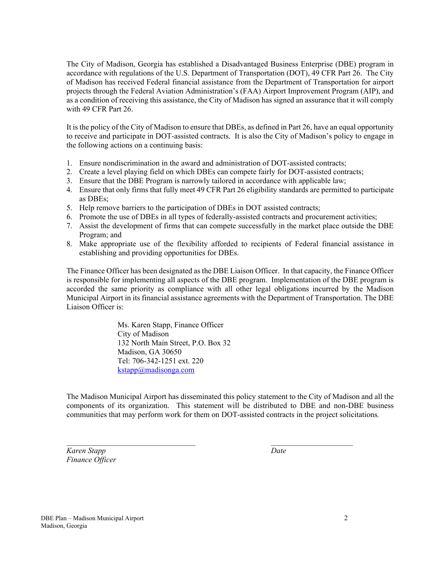The City of Madison, Georgia has established a Disadvantaged Business Enterprise (DBE) program in accordance with regulations of the U.S. Department of Transportation (DOT), 49 CFR Part 26. The City of Madison has received Federal financial assistance from the Department of Transportation for airport projects through the Federal Aviation Administration's (FAA) Airport Improvement Program (AIP), and as a condition of receiving this assistance, the City of Madison has signed an assurance that it will comply with 49 CFR Part 26.

It is the policy of the City of Madison to ensure that DBEs, as defined in Part 26, have an equal opportunity to receive and participate in DOT-assisted contracts. It is also the City of Madison's policy to engage in the following actions on a continuing basis:

- 1. Ensure nondiscrimination in the award and administration of DOT-assisted contracts;
- 2. Create a level playing field on which DBEs can compete fairly for DOT-assisted contracts;
- 3. Ensure that the DBE Program is narrowly tailored in accordance with applicable law;
- 4. Ensure that only firms that fully meet 49 CFR Part 26 eligibility standards are permitted to participate as DBEs;
- 5. Help remove barriers to the participation of DBEs in DOT assisted contracts;
- 6. Promote the use of DBEs in all types of federally-assisted contracts and procurement activities;
- 7. Assist the development of firms that can compete successfully in the market place outside the DBE Program; and
- 8. Make appropriate use of the flexibility afforded to recipients of Federal financial assistance in establishing and providing opportunities for DBEs.

The Finance Officer has been designated as the DBE Liaison Officer. In that capacity, the Finance Officer is responsible for implementing all aspects of the DBE program. Implementation of the DBE program is accorded the same priority as compliance with all other legal obligations incurred by the Madison Municipal Airport in its financial assistance agreements with the Department of Transportation. The DBE Liaison Officer is:

> Ms. Karen Stapp, Finance Officer City of Madison 132 North Main Street, P.O. Box 32 Madison, GA 30650 Tel: 706-342-1251 ext. 220 kstapp@madisonga.com

The Madison Municipal Airport has disseminated this policy statement to the City of Madison and all the components of its organization. This statement will be distributed to DBE and non-DBE business communities that may perform work for them on DOT-assisted contracts in the project solicitations*.* 

 $\mathcal{L}_\text{max}$  and the contract of the contract of the contract of the contract of the contract of the contract of

*Karen Stapp Date Finance Officer*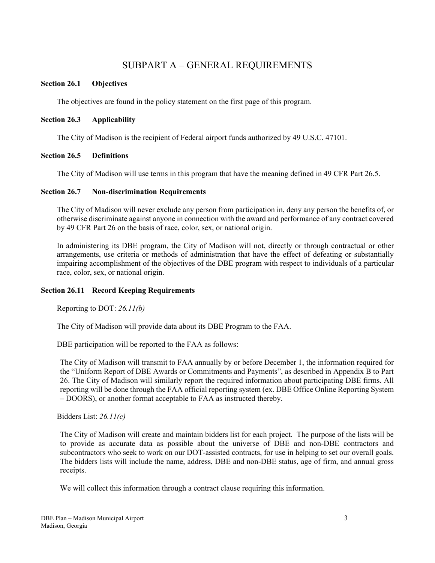# SUBPART A – GENERAL REQUIREMENTS

## **Section 26.1 Objectives**

The objectives are found in the policy statement on the first page of this program.

# **Section 26.3 Applicability**

The City of Madison is the recipient of Federal airport funds authorized by 49 U.S.C. 47101.

# **Section 26.5 Definitions**

The City of Madison will use terms in this program that have the meaning defined in 49 CFR Part 26.5.

# **Section 26.7 Non-discrimination Requirements**

The City of Madison will never exclude any person from participation in, deny any person the benefits of, or otherwise discriminate against anyone in connection with the award and performance of any contract covered by 49 CFR Part 26 on the basis of race, color, sex, or national origin.

In administering its DBE program, the City of Madison will not, directly or through contractual or other arrangements, use criteria or methods of administration that have the effect of defeating or substantially impairing accomplishment of the objectives of the DBE program with respect to individuals of a particular race, color, sex, or national origin.

# **Section 26.11 Record Keeping Requirements**

Reporting to DOT: *26.11(b)*

The City of Madison will provide data about its DBE Program to the FAA.

DBE participation will be reported to the FAA as follows:

 The City of Madison will transmit to FAA annually by or before December 1, the information required for the "Uniform Report of DBE Awards or Commitments and Payments", as described in Appendix B to Part 26. The City of Madison will similarly report the required information about participating DBE firms. All reporting will be done through the FAA official reporting system (ex. DBE Office Online Reporting System – DOORS), or another format acceptable to FAA as instructed thereby.

Bidders List: *26.11(c)* 

The City of Madison will create and maintain bidders list for each project. The purpose of the lists will be to provide as accurate data as possible about the universe of DBE and non-DBE contractors and subcontractors who seek to work on our DOT-assisted contracts, for use in helping to set our overall goals. The bidders lists will include the name, address, DBE and non-DBE status, age of firm, and annual gross receipts.

We will collect this information through a contract clause requiring this information.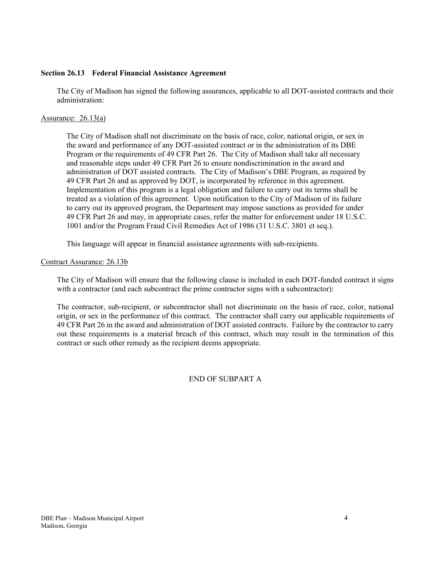#### **Section 26.13 Federal Financial Assistance Agreement**

The City of Madison has signed the following assurances, applicable to all DOT-assisted contracts and their administration:

#### Assurance: 26.13(a)

The City of Madison shall not discriminate on the basis of race, color, national origin, or sex in the award and performance of any DOT-assisted contract or in the administration of its DBE Program or the requirements of 49 CFR Part 26. The City of Madison shall take all necessary and reasonable steps under 49 CFR Part 26 to ensure nondiscrimination in the award and administration of DOT assisted contracts. The City of Madison's DBE Program, as required by 49 CFR Part 26 and as approved by DOT, is incorporated by reference in this agreement. Implementation of this program is a legal obligation and failure to carry out its terms shall be treated as a violation of this agreement. Upon notification to the City of Madison of its failure to carry out its approved program, the Department may impose sanctions as provided for under 49 CFR Part 26 and may, in appropriate cases, refer the matter for enforcement under 18 U.S.C. 1001 and/or the Program Fraud Civil Remedies Act of 1986 (31 U.S.C. 3801 et seq.).

This language will appear in financial assistance agreements with sub-recipients.

#### Contract Assurance: 26.13b

The City of Madison will ensure that the following clause is included in each DOT-funded contract it signs with a contractor (and each subcontract the prime contractor signs with a subcontractor):

The contractor, sub-recipient, or subcontractor shall not discriminate on the basis of race, color, national origin, or sex in the performance of this contract. The contractor shall carry out applicable requirements of 49 CFR Part 26 in the award and administration of DOT assisted contracts. Failure by the contractor to carry out these requirements is a material breach of this contract, which may result in the termination of this contract or such other remedy as the recipient deems appropriate.

### END OF SUBPART A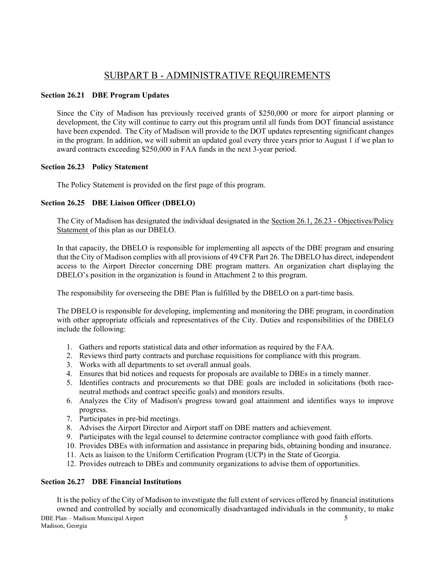# SUBPART B - ADMINISTRATIVE REQUIREMENTS

# **Section 26.21 DBE Program Updates**

Since the City of Madison has previously received grants of \$250,000 or more for airport planning or development, the City will continue to carry out this program until all funds from DOT financial assistance have been expended. The City of Madison will provide to the DOT updates representing significant changes in the program. In addition, we will submit an updated goal every three years prior to August 1 if we plan to award contracts exceeding \$250,000 in FAA funds in the next 3-year period.

# **Section 26.23 Policy Statement**

The Policy Statement is provided on the first page of this program.

# **Section 26.25 DBE Liaison Officer (DBELO)**

The City of Madison has designated the individual designated in the Section 26.1, 26.23 - Objectives/Policy Statement of this plan as our DBELO.

In that capacity, the DBELO is responsible for implementing all aspects of the DBE program and ensuring that the City of Madison complies with all provisions of 49 CFR Part 26. The DBELO has direct, independent access to the Airport Director concerning DBE program matters. An organization chart displaying the DBELO's position in the organization is found in Attachment 2 to this program.

The responsibility for overseeing the DBE Plan is fulfilled by the DBELO on a part-time basis.

The DBELO is responsible for developing, implementing and monitoring the DBE program, in coordination with other appropriate officials and representatives of the City. Duties and responsibilities of the DBELO include the following:

- 1. Gathers and reports statistical data and other information as required by the FAA.
- 2. Reviews third party contracts and purchase requisitions for compliance with this program.
- 3. Works with all departments to set overall annual goals.
- 4. Ensures that bid notices and requests for proposals are available to DBEs in a timely manner.
- 5. Identifies contracts and procurements so that DBE goals are included in solicitations (both raceneutral methods and contract specific goals) and monitors results.
- 6. Analyzes the City of Madison's progress toward goal attainment and identifies ways to improve progress.
- 7. Participates in pre-bid meetings.
- 8. Advises the Airport Director and Airport staff on DBE matters and achievement.
- 9. Participates with the legal counsel to determine contractor compliance with good faith efforts.
- 10. Provides DBEs with information and assistance in preparing bids, obtaining bonding and insurance.
- 11. Acts as liaison to the Uniform Certification Program (UCP) in the State of Georgia.
- 12. Provides outreach to DBEs and community organizations to advise them of opportunities.

# **Section 26.27 DBE Financial Institutions**

DBE Plan – Madison Municipal Airport 5 Madison, Georgia It is the policy of the City of Madison to investigate the full extent of services offered by financial institutions owned and controlled by socially and economically disadvantaged individuals in the community, to make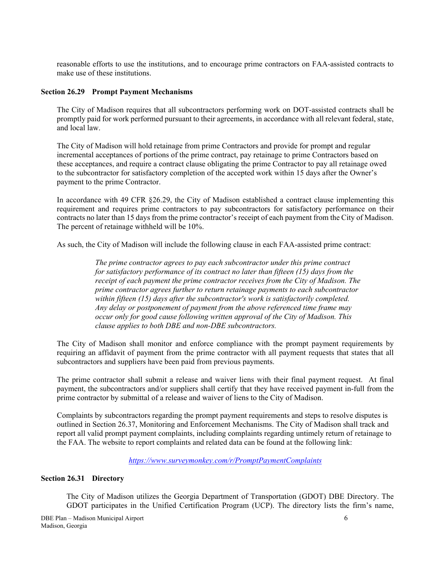reasonable efforts to use the institutions, and to encourage prime contractors on FAA-assisted contracts to make use of these institutions.

#### **Section 26.29 Prompt Payment Mechanisms**

The City of Madison requires that all subcontractors performing work on DOT-assisted contracts shall be promptly paid for work performed pursuant to their agreements, in accordance with all relevant federal, state, and local law.

The City of Madison will hold retainage from prime Contractors and provide for prompt and regular incremental acceptances of portions of the prime contract, pay retainage to prime Contractors based on these acceptances, and require a contract clause obligating the prime Contractor to pay all retainage owed to the subcontractor for satisfactory completion of the accepted work within 15 days after the Owner's payment to the prime Contractor.

In accordance with 49 CFR §26.29, the City of Madison established a contract clause implementing this requirement and requires prime contractors to pay subcontractors for satisfactory performance on their contracts no later than 15 days from the prime contractor's receipt of each payment from the City of Madison. The percent of retainage withheld will be 10%.

As such, the City of Madison will include the following clause in each FAA-assisted prime contract:

*The prime contractor agrees to pay each subcontractor under this prime contract for satisfactory performance of its contract no later than fifteen (15) days from the receipt of each payment the prime contractor receives from the City of Madison. The prime contractor agrees further to return retainage payments to each subcontractor within fifteen (15) days after the subcontractor's work is satisfactorily completed. Any delay or postponement of payment from the above referenced time frame may occur only for good cause following written approval of the City of Madison. This clause applies to both DBE and non-DBE subcontractors.* 

The City of Madison shall monitor and enforce compliance with the prompt payment requirements by requiring an affidavit of payment from the prime contractor with all payment requests that states that all subcontractors and suppliers have been paid from previous payments.

The prime contractor shall submit a release and waiver liens with their final payment request. At final payment, the subcontractors and/or suppliers shall certify that they have received payment in-full from the prime contractor by submittal of a release and waiver of liens to the City of Madison.

Complaints by subcontractors regarding the prompt payment requirements and steps to resolve disputes is outlined in Section 26.37, Monitoring and Enforcement Mechanisms. The City of Madison shall track and report all valid prompt payment complaints, including complaints regarding untimely return of retainage to the FAA. The website to report complaints and related data can be found at the following link:

*https://www.surveymonkey.com/r/PromptPaymentComplaints* 

#### **Section 26.31 Directory**

The City of Madison utilizes the Georgia Department of Transportation (GDOT) DBE Directory. The GDOT participates in the Unified Certification Program (UCP). The directory lists the firm's name,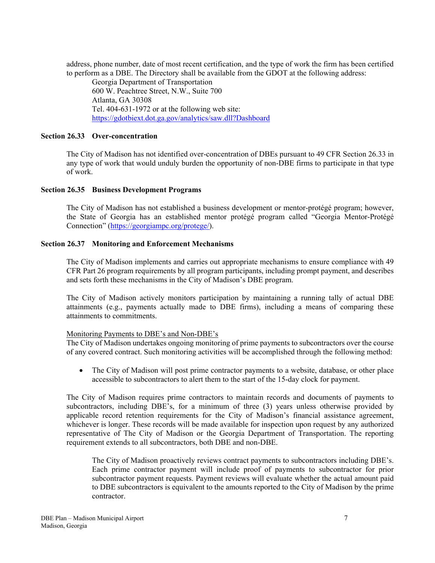address, phone number, date of most recent certification, and the type of work the firm has been certified to perform as a DBE. The Directory shall be available from the GDOT at the following address:

 Georgia Department of Transportation 600 W. Peachtree Street, N.W., Suite 700 Atlanta, GA 30308 Tel. 404-631-1972 or at the following web site: https://gdotbiext.dot.ga.gov/analytics/saw.dll?Dashboard

#### **Section 26.33 Over-concentration**

The City of Madison has not identified over-concentration of DBEs pursuant to 49 CFR Section 26.33 in any type of work that would unduly burden the opportunity of non-DBE firms to participate in that type of work.

#### **Section 26.35 Business Development Programs**

The City of Madison has not established a business development or mentor-protégé program; however, the State of Georgia has an established mentor protégé program called "Georgia Mentor-Protégé Connection" (https://georgiampc.org/protege/).

#### **Section 26.37 Monitoring and Enforcement Mechanisms**

The City of Madison implements and carries out appropriate mechanisms to ensure compliance with 49 CFR Part 26 program requirements by all program participants, including prompt payment, and describes and sets forth these mechanisms in the City of Madison's DBE program.

The City of Madison actively monitors participation by maintaining a running tally of actual DBE attainments (e.g., payments actually made to DBE firms), including a means of comparing these attainments to commitments.

### Monitoring Payments to DBE's and Non-DBE's

The City of Madison undertakes ongoing monitoring of prime payments to subcontractors over the course of any covered contract. Such monitoring activities will be accomplished through the following method:

• The City of Madison will post prime contractor payments to a website, database, or other place accessible to subcontractors to alert them to the start of the 15-day clock for payment.

The City of Madison requires prime contractors to maintain records and documents of payments to subcontractors, including DBE's, for a minimum of three (3) years unless otherwise provided by applicable record retention requirements for the City of Madison's financial assistance agreement, whichever is longer. These records will be made available for inspection upon request by any authorized representative of The City of Madison or the Georgia Department of Transportation. The reporting requirement extends to all subcontractors, both DBE and non-DBE.

The City of Madison proactively reviews contract payments to subcontractors including DBE's. Each prime contractor payment will include proof of payments to subcontractor for prior subcontractor payment requests. Payment reviews will evaluate whether the actual amount paid to DBE subcontractors is equivalent to the amounts reported to the City of Madison by the prime contractor.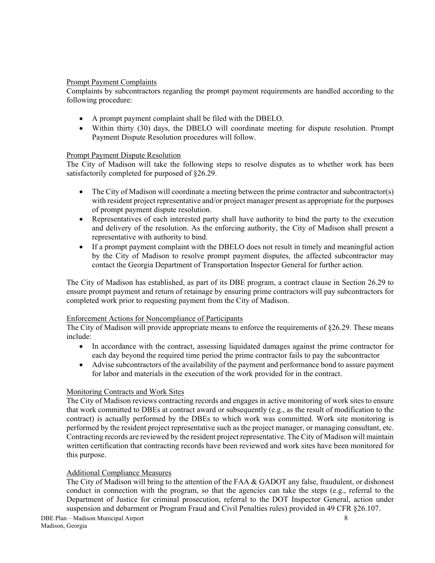# Prompt Payment Complaints

Complaints by subcontractors regarding the prompt payment requirements are handled according to the following procedure:

- A prompt payment complaint shall be filed with the DBELO.
- Within thirty (30) days, the DBELO will coordinate meeting for dispute resolution. Prompt Payment Dispute Resolution procedures will follow.

### Prompt Payment Dispute Resolution

The City of Madison will take the following steps to resolve disputes as to whether work has been satisfactorily completed for purposed of §26.29.

- The City of Madison will coordinate a meeting between the prime contractor and subcontractor(s) with resident project representative and/or project manager present as appropriate for the purposes of prompt payment dispute resolution.
- Representatives of each interested party shall have authority to bind the party to the execution and delivery of the resolution. As the enforcing authority, the City of Madison shall present a representative with authority to bind.
- If a prompt payment complaint with the DBELO does not result in timely and meaningful action by the City of Madison to resolve prompt payment disputes, the affected subcontractor may contact the Georgia Department of Transportation Inspector General for further action.

The City of Madison has established, as part of its DBE program, a contract clause in Section 26.29 to ensure prompt payment and return of retainage by ensuring prime contractors will pay subcontractors for completed work prior to requesting payment from the City of Madison.

### Enforcement Actions for Noncompliance of Participants

The City of Madison will provide appropriate means to enforce the requirements of §26.29. These means include:

- In accordance with the contract, assessing liquidated damages against the prime contractor for each day beyond the required time period the prime contractor fails to pay the subcontractor
- Advise subcontractors of the availability of the payment and performance bond to assure payment for labor and materials in the execution of the work provided for in the contract.

### Monitoring Contracts and Work Sites

The City of Madison reviews contracting records and engages in active monitoring of work sites to ensure that work committed to DBEs at contract award or subsequently (e.g., as the result of modification to the contract) is actually performed by the DBEs to which work was committed. Work site monitoring is performed by the resident project representative such as the project manager, or managing consultant, etc. Contracting records are reviewed by the resident project representative. The City of Madison will maintain written certification that contracting records have been reviewed and work sites have been monitored for this purpose.

### Additional Compliance Measures

The City of Madison will bring to the attention of the FAA & GADOT any false, fraudulent, or dishonest conduct in connection with the program, so that the agencies can take the steps (e.g., referral to the Department of Justice for criminal prosecution, referral to the DOT Inspector General, action under suspension and debarment or Program Fraud and Civil Penalties rules) provided in 49 CFR §26.107.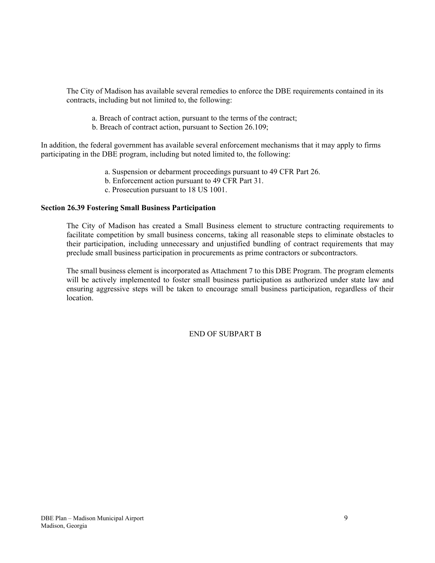The City of Madison has available several remedies to enforce the DBE requirements contained in its contracts, including but not limited to, the following:

- a. Breach of contract action, pursuant to the terms of the contract;
- b. Breach of contract action, pursuant to Section 26.109;

In addition, the federal government has available several enforcement mechanisms that it may apply to firms participating in the DBE program, including but noted limited to, the following:

- a. Suspension or debarment proceedings pursuant to 49 CFR Part 26.
- b. Enforcement action pursuant to 49 CFR Part 31.
- c. Prosecution pursuant to 18 US 1001.

# **Section 26.39 Fostering Small Business Participation**

The City of Madison has created a Small Business element to structure contracting requirements to facilitate competition by small business concerns, taking all reasonable steps to eliminate obstacles to their participation, including unnecessary and unjustified bundling of contract requirements that may preclude small business participation in procurements as prime contractors or subcontractors.

The small business element is incorporated as Attachment 7 to this DBE Program. The program elements will be actively implemented to foster small business participation as authorized under state law and ensuring aggressive steps will be taken to encourage small business participation, regardless of their location.

END OF SUBPART B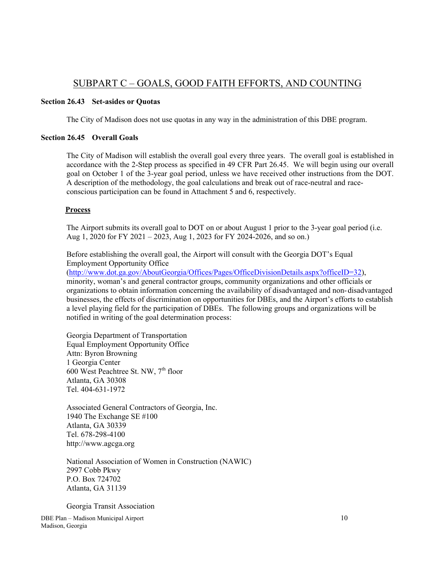# SUBPART C – GOALS, GOOD FAITH EFFORTS, AND COUNTING

## **Section 26.43 Set-asides or Quotas**

The City of Madison does not use quotas in any way in the administration of this DBE program.

### **Section 26.45 Overall Goals**

The City of Madison will establish the overall goal every three years. The overall goal is established in accordance with the 2-Step process as specified in 49 CFR Part 26.45. We will begin using our overall goal on October 1 of the 3-year goal period, unless we have received other instructions from the DOT. A description of the methodology, the goal calculations and break out of race-neutral and race conscious participation can be found in Attachment 5 and 6, respectively.

# **Process**

 The Airport submits its overall goal to DOT on or about August 1 prior to the 3-year goal period (i.e. Aug 1, 2020 for FY 2021 – 2023, Aug 1, 2023 for FY 2024-2026, and so on.)

 Before establishing the overall goal, the Airport will consult with the Georgia DOT's Equal Employment Opportunity Office

(http://www.dot.ga.gov/AboutGeorgia/Offices/Pages/OfficeDivisionDetails.aspx?officeID=32), minority, woman's and general contractor groups, community organizations and other officials or organizations to obtain information concerning the availability of disadvantaged and non- disadvantaged businesses, the effects of discrimination on opportunities for DBEs, and the Airport's efforts to establish a level playing field for the participation of DBEs. The following groups and organizations will be notified in writing of the goal determination process:

 Georgia Department of Transportation Equal Employment Opportunity Office Attn: Byron Browning 1 Georgia Center 600 West Peachtree St. NW,  $7<sup>th</sup>$  floor Atlanta, GA 30308 Tel. 404-631-1972

 Associated General Contractors of Georgia, Inc. 1940 The Exchange SE #100 Atlanta, GA 30339 Tel. 678-298-4100 http://www.agcga.org

 National Association of Women in Construction (NAWIC) 2997 Cobb Pkwy P.O. Box 724702 Atlanta, GA 31139

Georgia Transit Association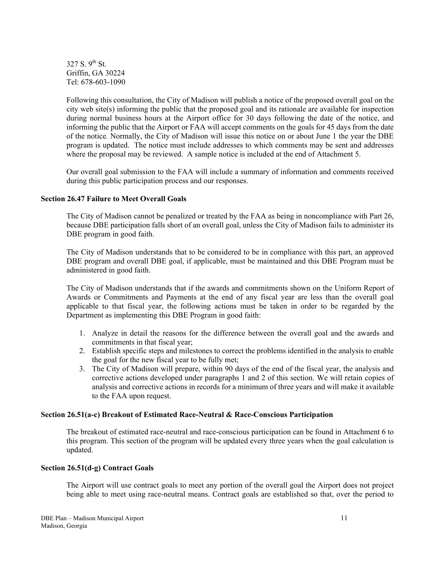$327 S. 9<sup>th</sup> St.$  Griffin, GA 30224 Tel: 678-603-1090

Following this consultation, the City of Madison will publish a notice of the proposed overall goal on the city web site(s) informing the public that the proposed goal and its rationale are available for inspection during normal business hours at the Airport office for 30 days following the date of the notice, and informing the public that the Airport or FAA will accept comments on the goals for 45 days from the date of the notice*.* Normally, the City of Madison will issue this notice on or about June 1 the year the DBE program is updated. The notice must include addresses to which comments may be sent and addresses where the proposal may be reviewed. A sample notice is included at the end of Attachment 5.

Our overall goal submission to the FAA will include a summary of information and comments received during this public participation process and our responses.

### **Section 26.47 Failure to Meet Overall Goals**

The City of Madison cannot be penalized or treated by the FAA as being in noncompliance with Part 26, because DBE participation falls short of an overall goal, unless the City of Madison fails to administer its DBE program in good faith.

The City of Madison understands that to be considered to be in compliance with this part, an approved DBE program and overall DBE goal, if applicable, must be maintained and this DBE Program must be administered in good faith.

The City of Madison understands that if the awards and commitments shown on the Uniform Report of Awards or Commitments and Payments at the end of any fiscal year are less than the overall goal applicable to that fiscal year, the following actions must be taken in order to be regarded by the Department as implementing this DBE Program in good faith:

- 1. Analyze in detail the reasons for the difference between the overall goal and the awards and commitments in that fiscal year;
- 2. Establish specific steps and milestones to correct the problems identified in the analysis to enable the goal for the new fiscal year to be fully met;
- 3. The City of Madison will prepare, within 90 days of the end of the fiscal year, the analysis and corrective actions developed under paragraphs 1 and 2 of this section. We will retain copies of analysis and corrective actions in records for a minimum of three years and will make it available to the FAA upon request.

### **Section 26.51(a-c) Breakout of Estimated Race-Neutral & Race-Conscious Participation**

The breakout of estimated race-neutral and race-conscious participation can be found in Attachment 6 to this program. This section of the program will be updated every three years when the goal calculation is updated.

#### **Section 26.51(d-g) Contract Goals**

The Airport will use contract goals to meet any portion of the overall goal the Airport does not project being able to meet using race-neutral means. Contract goals are established so that, over the period to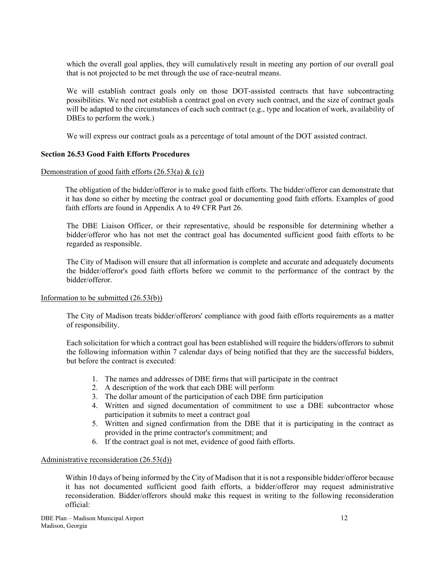which the overall goal applies, they will cumulatively result in meeting any portion of our overall goal that is not projected to be met through the use of race-neutral means.

We will establish contract goals only on those DOT-assisted contracts that have subcontracting possibilities. We need not establish a contract goal on every such contract, and the size of contract goals will be adapted to the circumstances of each such contract (e.g., type and location of work, availability of DBEs to perform the work.)

We will express our contract goals as a percentage of total amount of the DOT assisted contract.

#### **Section 26.53 Good Faith Efforts Procedures**

#### Demonstration of good faith efforts  $(26.53(a) \& c)$

The obligation of the bidder/offeror is to make good faith efforts. The bidder/offeror can demonstrate that it has done so either by meeting the contract goal or documenting good faith efforts. Examples of good faith efforts are found in Appendix A to 49 CFR Part 26.

The DBE Liaison Officer, or their representative, should be responsible for determining whether a bidder/offeror who has not met the contract goal has documented sufficient good faith efforts to be regarded as responsible.

The City of Madison will ensure that all information is complete and accurate and adequately documents the bidder/offeror's good faith efforts before we commit to the performance of the contract by the bidder/offeror.

#### Information to be submitted (26.53(b))

The City of Madison treats bidder/offerors' compliance with good faith efforts requirements as a matter of responsibility.

Each solicitation for which a contract goal has been established will require the bidders/offerors to submit the following information within 7 calendar days of being notified that they are the successful bidders, but before the contract is executed:

- 1. The names and addresses of DBE firms that will participate in the contract
- 2. A description of the work that each DBE will perform
- 3. The dollar amount of the participation of each DBE firm participation
- 4. Written and signed documentation of commitment to use a DBE subcontractor whose participation it submits to meet a contract goal
- 5. Written and signed confirmation from the DBE that it is participating in the contract as provided in the prime contractor's commitment; and
- 6. If the contract goal is not met, evidence of good faith efforts.

#### Administrative reconsideration (26.53(d))

Within 10 days of being informed by the City of Madison that it is not a responsible bidder/offeror because it has not documented sufficient good faith efforts, a bidder/offeror may request administrative reconsideration. Bidder/offerors should make this request in writing to the following reconsideration official: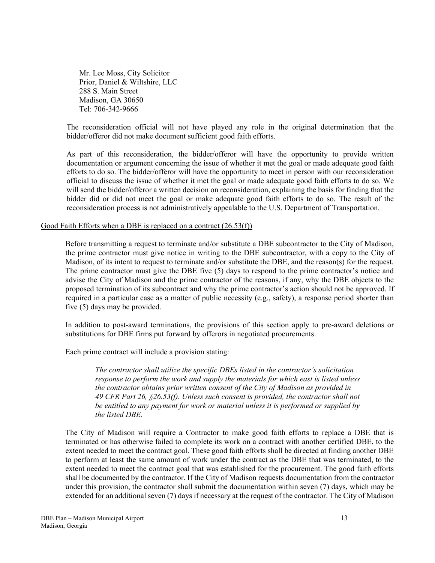Mr. Lee Moss, City Solicitor Prior, Daniel & Wiltshire, LLC 288 S. Main Street Madison, GA 30650 Tel: 706-342-9666

The reconsideration official will not have played any role in the original determination that the bidder/offeror did not make document sufficient good faith efforts.

As part of this reconsideration, the bidder/offeror will have the opportunity to provide written documentation or argument concerning the issue of whether it met the goal or made adequate good faith efforts to do so. The bidder/offeror will have the opportunity to meet in person with our reconsideration official to discuss the issue of whether it met the goal or made adequate good faith efforts to do so. We will send the bidder/offeror a written decision on reconsideration, explaining the basis for finding that the bidder did or did not meet the goal or make adequate good faith efforts to do so. The result of the reconsideration process is not administratively appealable to the U.S. Department of Transportation.

#### Good Faith Efforts when a DBE is replaced on a contract (26.53(f))

Before transmitting a request to terminate and/or substitute a DBE subcontractor to the City of Madison, the prime contractor must give notice in writing to the DBE subcontractor, with a copy to the City of Madison, of its intent to request to terminate and/or substitute the DBE, and the reason(s) for the request. The prime contractor must give the DBE five (5) days to respond to the prime contractor's notice and advise the City of Madison and the prime contractor of the reasons, if any, why the DBE objects to the proposed termination of its subcontract and why the prime contractor's action should not be approved. If required in a particular case as a matter of public necessity (e.g., safety), a response period shorter than five (5) days may be provided.

In addition to post-award terminations, the provisions of this section apply to pre-award deletions or substitutions for DBE firms put forward by offerors in negotiated procurements.

Each prime contract will include a provision stating:

*The contractor shall utilize the specific DBEs listed in the contractor's solicitation response to perform the work and supply the materials for which east is listed unless the contractor obtains prior written consent of the City of Madison as provided in 49 CFR Part 26, §26.53(f). Unless such consent is provided, the contractor shall not be entitled to any payment for work or material unless it is performed or supplied by the listed DBE.* 

The City of Madison will require a Contractor to make good faith efforts to replace a DBE that is terminated or has otherwise failed to complete its work on a contract with another certified DBE, to the extent needed to meet the contract goal. These good faith efforts shall be directed at finding another DBE to perform at least the same amount of work under the contract as the DBE that was terminated, to the extent needed to meet the contract goal that was established for the procurement. The good faith efforts shall be documented by the contractor. If the City of Madison requests documentation from the contractor under this provision, the contractor shall submit the documentation within seven (7) days, which may be extended for an additional seven (7) days if necessary at the request of the contractor. The City of Madison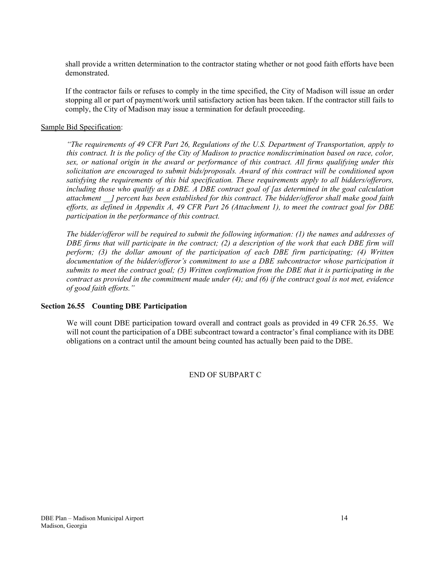shall provide a written determination to the contractor stating whether or not good faith efforts have been demonstrated.

If the contractor fails or refuses to comply in the time specified, the City of Madison will issue an order stopping all or part of payment/work until satisfactory action has been taken. If the contractor still fails to comply, the City of Madison may issue a termination for default proceeding.

### Sample Bid Specification:

*"The requirements of 49 CFR Part 26, Regulations of the U.S. Department of Transportation, apply to this contract. It is the policy of the City of Madison to practice nondiscrimination based on race, color, sex, or national origin in the award or performance of this contract. All firms qualifying under this solicitation are encouraged to submit bids/proposals. Award of this contract will be conditioned upon satisfying the requirements of this bid specification. These requirements apply to all bidders/offerors, including those who qualify as a DBE. A DBE contract goal of [as determined in the goal calculation attachment \_\_] percent has been established for this contract. The bidder/offeror shall make good faith efforts, as defined in Appendix A, 49 CFR Part 26 (Attachment 1), to meet the contract goal for DBE participation in the performance of this contract.* 

*The bidder/offeror will be required to submit the following information: (1) the names and addresses of DBE firms that will participate in the contract; (2) a description of the work that each DBE firm will perform; (3) the dollar amount of the participation of each DBE firm participating; (4) Written documentation of the bidder/offeror's commitment to use a DBE subcontractor whose participation it submits to meet the contract goal; (5) Written confirmation from the DBE that it is participating in the contract as provided in the commitment made under (4); and (6) if the contract goal is not met, evidence of good faith efforts."* 

#### **Section 26.55 Counting DBE Participation**

We will count DBE participation toward overall and contract goals as provided in 49 CFR 26.55. We will not count the participation of a DBE subcontract toward a contractor's final compliance with its DBE obligations on a contract until the amount being counted has actually been paid to the DBE.

### END OF SUBPART C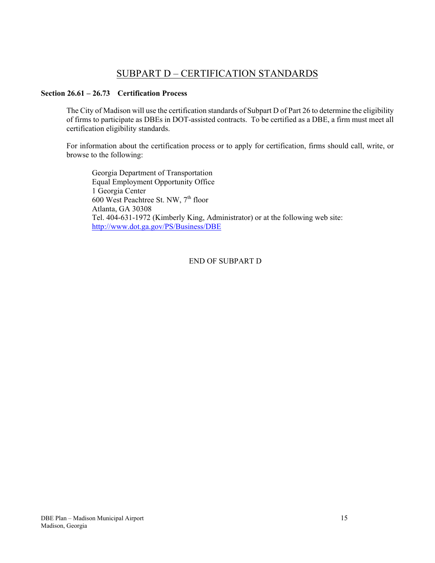# SUBPART D – CERTIFICATION STANDARDS

# **Section 26.61 – 26.73 Certification Process**

The City of Madison will use the certification standards of Subpart D of Part 26 to determine the eligibility of firms to participate as DBEs in DOT-assisted contracts. To be certified as a DBE, a firm must meet all certification eligibility standards.

For information about the certification process or to apply for certification, firms should call, write, or browse to the following:

 Georgia Department of Transportation Equal Employment Opportunity Office 1 Georgia Center 600 West Peachtree St. NW, 7<sup>th</sup> floor Atlanta, GA 30308 Tel. 404-631-1972 (Kimberly King, Administrator) or at the following web site: http://www.dot.ga.gov/PS/Business/DBE

END OF SUBPART D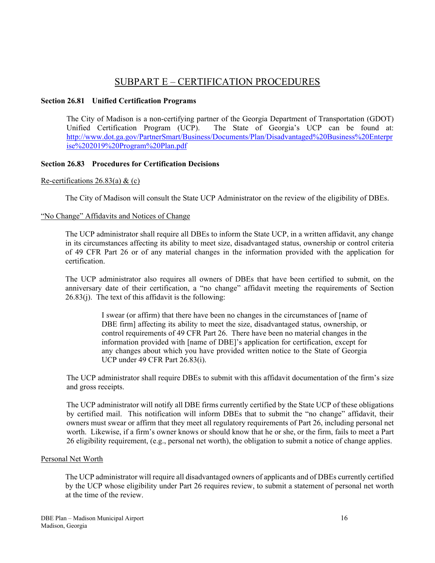# SUBPART E – CERTIFICATION PROCEDURES

## **Section 26.81 Unified Certification Programs**

The City of Madison is a non-certifying partner of the Georgia Department of Transportation (GDOT)<br>Unified Certification Program (UCP). The State of Georgia's UCP can be found at: The State of Georgia's UCP can be found at: http://www.dot.ga.gov/PartnerSmart/Business/Documents/Plan/Disadvantaged%20Business%20Enterpr ise%202019%20Program%20Plan.pdf

# **Section 26.83 Procedures for Certification Decisions**

### Re-certifications  $26.83(a)$  & (c)

The City of Madison will consult the State UCP Administrator on the review of the eligibility of DBEs.

# "No Change" Affidavits and Notices of Change

The UCP administrator shall require all DBEs to inform the State UCP, in a written affidavit, any change in its circumstances affecting its ability to meet size, disadvantaged status, ownership or control criteria of 49 CFR Part 26 or of any material changes in the information provided with the application for certification.

The UCP administrator also requires all owners of DBEs that have been certified to submit, on the anniversary date of their certification, a "no change" affidavit meeting the requirements of Section 26.83(j). The text of this affidavit is the following:

> I swear (or affirm) that there have been no changes in the circumstances of [name of DBE firm] affecting its ability to meet the size, disadvantaged status, ownership, or control requirements of 49 CFR Part 26. There have been no material changes in the information provided with [name of DBE]'s application for certification, except for any changes about which you have provided written notice to the State of Georgia UCP under 49 CFR Part 26.83(i).

The UCP administrator shall require DBEs to submit with this affidavit documentation of the firm's size and gross receipts.

The UCP administrator will notify all DBE firms currently certified by the State UCP of these obligations by certified mail. This notification will inform DBEs that to submit the "no change" affidavit, their owners must swear or affirm that they meet all regulatory requirements of Part 26, including personal net worth. Likewise, if a firm's owner knows or should know that he or she, or the firm, fails to meet a Part 26 eligibility requirement, (e.g., personal net worth), the obligation to submit a notice of change applies.

### Personal Net Worth

The UCP administrator will require all disadvantaged owners of applicants and of DBEs currently certified by the UCP whose eligibility under Part 26 requires review, to submit a statement of personal net worth at the time of the review.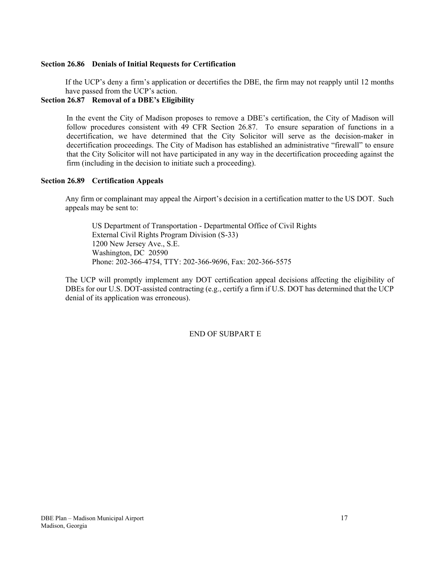### **Section 26.86 Denials of Initial Requests for Certification**

If the UCP's deny a firm's application or decertifies the DBE, the firm may not reapply until 12 months have passed from the UCP's action.

## **Section 26.87 Removal of a DBE's Eligibility**

In the event the City of Madison proposes to remove a DBE's certification, the City of Madison will follow procedures consistent with 49 CFR Section 26.87. To ensure separation of functions in a decertification, we have determined that the City Solicitor will serve as the decision-maker in decertification proceedings. The City of Madison has established an administrative "firewall" to ensure that the City Solicitor will not have participated in any way in the decertification proceeding against the firm (including in the decision to initiate such a proceeding).

#### **Section 26.89 Certification Appeals**

Any firm or complainant may appeal the Airport's decision in a certification matter to the US DOT. Such appeals may be sent to:

 US Department of Transportation - Departmental Office of Civil Rights External Civil Rights Program Division (S-33) 1200 New Jersey Ave., S.E. Washington, DC 20590 Phone: 202-366-4754, TTY: 202-366-9696, Fax: 202-366-5575

The UCP will promptly implement any DOT certification appeal decisions affecting the eligibility of DBEs for our U.S. DOT-assisted contracting (e.g., certify a firm if U.S. DOT has determined that the UCP denial of its application was erroneous).

END OF SUBPART E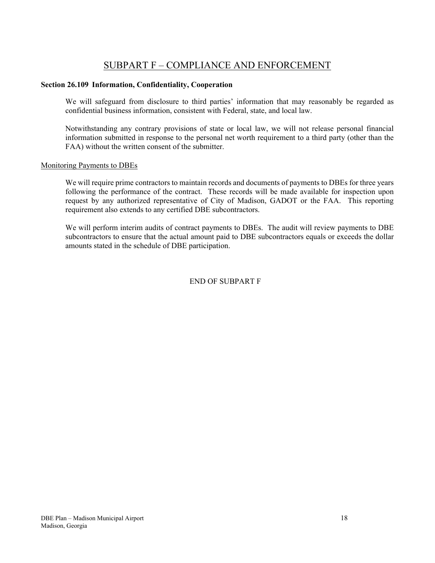# SUBPART F – COMPLIANCE AND ENFORCEMENT

### **Section 26.109 Information, Confidentiality, Cooperation**

We will safeguard from disclosure to third parties' information that may reasonably be regarded as confidential business information, consistent with Federal, state, and local law.

Notwithstanding any contrary provisions of state or local law, we will not release personal financial information submitted in response to the personal net worth requirement to a third party (other than the FAA) without the written consent of the submitter.

#### Monitoring Payments to DBEs

We will require prime contractors to maintain records and documents of payments to DBEs for three years following the performance of the contract. These records will be made available for inspection upon request by any authorized representative of City of Madison, GADOT or the FAA. This reporting requirement also extends to any certified DBE subcontractors.

We will perform interim audits of contract payments to DBEs. The audit will review payments to DBE subcontractors to ensure that the actual amount paid to DBE subcontractors equals or exceeds the dollar amounts stated in the schedule of DBE participation.

# END OF SUBPART F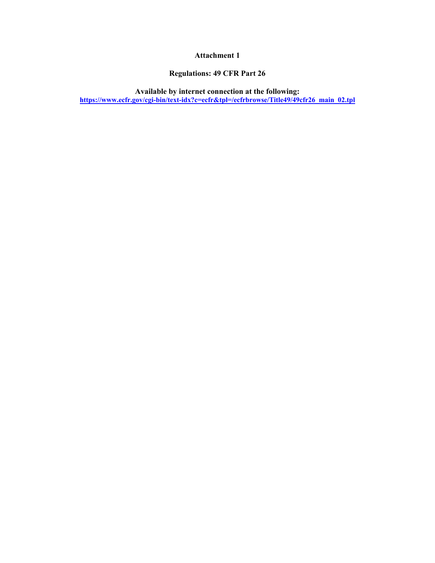# **Attachment 1**

# **Regulations: 49 CFR Part 26**

**Available by internet connection at the following: https://www.ecfr.gov/cgi-bin/text-idx?c=ecfr&tpl=/ecfrbrowse/Title49/49cfr26\_main\_02.tpl**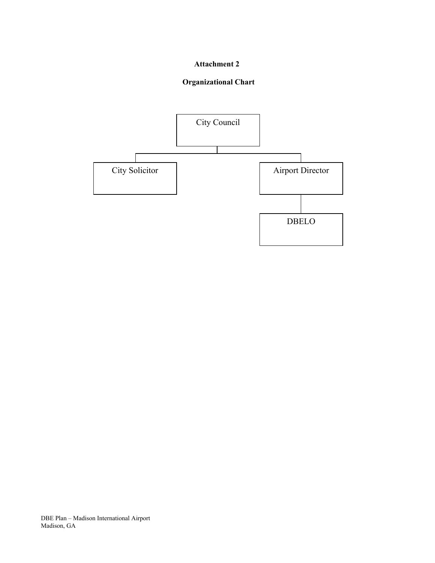# **Attachment 2**

# **Organizational Chart**

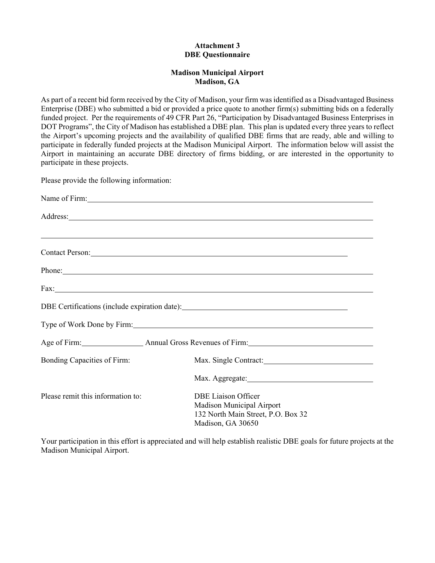## **Attachment 3 DBE Questionnaire**

## **Madison Municipal Airport Madison, GA**

As part of a recent bid form received by the City of Madison, your firm was identified as a Disadvantaged Business Enterprise (DBE) who submitted a bid or provided a price quote to another firm(s) submitting bids on a federally funded project. Per the requirements of 49 CFR Part 26, "Participation by Disadvantaged Business Enterprises in DOT Programs", the City of Madison has established a DBE plan. This plan is updated every three years to reflect the Airport's upcoming projects and the availability of qualified DBE firms that are ready, able and willing to participate in federally funded projects at the Madison Municipal Airport. The information below will assist the Airport in maintaining an accurate DBE directory of firms bidding, or are interested in the opportunity to participate in these projects.

Please provide the following information:

|                                   | Name of Firm:                                                                                                                                                                                                                  |
|-----------------------------------|--------------------------------------------------------------------------------------------------------------------------------------------------------------------------------------------------------------------------------|
|                                   | Address:                                                                                                                                                                                                                       |
|                                   | ,我们也不会有什么。""我们的人,我们也不会有什么?""我们的人,我们也不会有什么?""我们的人,我们也不会有什么?""我们的人,我们也不会有什么?""我们的人                                                                                                                                               |
|                                   | Contact Person: Note that the contract person of the contract person of the contract person of the contract of the contract of the contract of the contract of the contract of the contract of the contract of the contract of |
|                                   | Phone:                                                                                                                                                                                                                         |
|                                   | Fax: The contract of the contract of the contract of the contract of the contract of the contract of the contract of the contract of the contract of the contract of the contract of the contract of the contract of the contr |
|                                   | DBE Certifications (include expiration date): ___________________________________                                                                                                                                              |
|                                   | Type of Work Done by Firm: No. 1996. The Contract of Work Done by Firm:                                                                                                                                                        |
|                                   | Age of Firm: Annual Gross Revenues of Firm: Age of Firm:                                                                                                                                                                       |
| Bonding Capacities of Firm:       | Max. Single Contract:                                                                                                                                                                                                          |
|                                   |                                                                                                                                                                                                                                |
| Please remit this information to: | <b>DBE Liaison Officer</b><br>Madison Municipal Airport<br>132 North Main Street, P.O. Box 32<br>Madison, GA 30650                                                                                                             |

Your participation in this effort is appreciated and will help establish realistic DBE goals for future projects at the Madison Municipal Airport.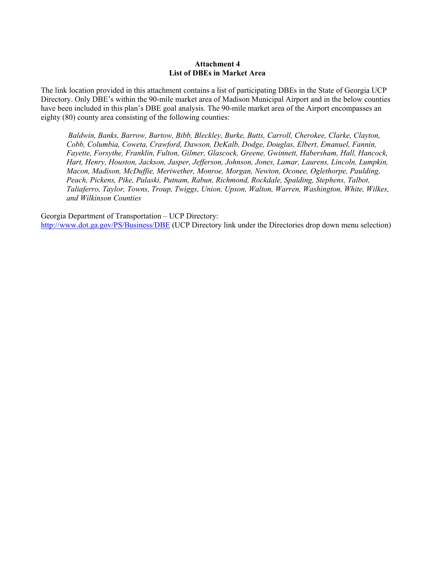#### **Attachment 4 List of DBEs in Market Area**

The link location provided in this attachment contains a list of participating DBEs in the State of Georgia UCP Directory. Only DBE's within the 90-mile market area of Madison Municipal Airport and in the below counties have been included in this plan's DBE goal analysis. The 90-mile market area of the Airport encompasses an eighty (80) county area consisting of the following counties:

*Baldwin, Banks, Barrow, Bartow, Bibb, Bleckley, Burke, Butts, Carroll, Cherokee, Clarke, Clayton, Cobb, Columbia, Coweta, Crawford, Dawson, DeKalb, Dodge, Douglas, Elbert, Emanuel, Fannin, Fayette, Forsythe, Franklin, Fulton, Gilmer, Glascock, Greene, Gwinnett, Habersham, Hall, Hancock, Hart, Henry, Houston, Jackson, Jasper, Jefferson, Johnson, Jones, Lamar, Laurens, Lincoln, Lumpkin, Macon, Madison, McDuffie, Meriwether, Monroe, Morgan, Newton, Oconee, Oglethorpe, Paulding, Peach, Pickens, Pike, Pulaski, Putnam, Rabun, Richmond, Rockdale, Spalding, Stephens, Talbot, Taliaferro, Taylor, Towns, Troup, Twiggs, Union, Upson, Walton, Warren, Washington, White, Wilkes, and Wilkinson Counties* 

Georgia Department of Transportation – UCP Directory: http://www.dot.ga.gov/PS/Business/DBE (UCP Directory link under the Directories drop down menu selection)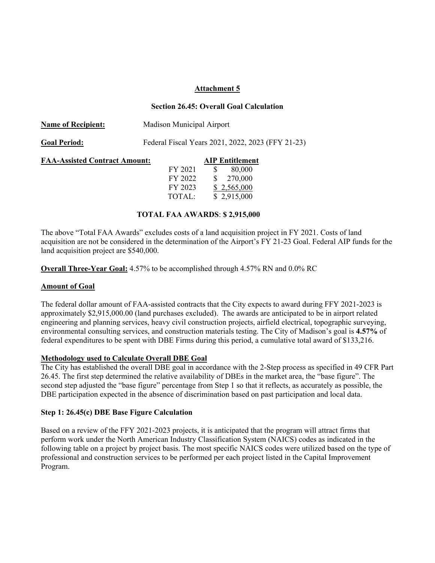#### **Attachment 5**

#### **Section 26.45: Overall Goal Calculation**

| <b>Name of Recipient:</b>            | Madison Municipal Airport                         |                                                  |  |
|--------------------------------------|---------------------------------------------------|--------------------------------------------------|--|
| <b>Goal Period:</b>                  | Federal Fiscal Years 2021, 2022, 2023 (FFY 21-23) |                                                  |  |
| <b>FAA-Assisted Contract Amount:</b> | FY 2021<br>FY 2022                                | <b>AIP Entitlement</b><br>80,000<br>S<br>270,000 |  |
|                                      | FY 2023<br>TOTAL:                                 | \$2,565,000<br>\$2,915,000                       |  |

#### **TOTAL FAA AWARDS**: **\$ 2,915,000**

The above "Total FAA Awards" excludes costs of a land acquisition project in FY 2021. Costs of land acquisition are not be considered in the determination of the Airport's FY 21-23 Goal. Federal AIP funds for the land acquisition project are \$540,000.

**Overall Three-Year Goal:** 4.57% to be accomplished through 4.57% RN and 0.0% RC

#### **Amount of Goal**

The federal dollar amount of FAA-assisted contracts that the City expects to award during FFY 2021-2023 is approximately \$2,915,000.00 (land purchases excluded). The awards are anticipated to be in airport related engineering and planning services, heavy civil construction projects, airfield electrical, topographic surveying, environmental consulting services, and construction materials testing. The City of Madison's goal is **4.57%** of federal expenditures to be spent with DBE Firms during this period, a cumulative total award of \$133,216.

#### **Methodology used to Calculate Overall DBE Goal**

The City has established the overall DBE goal in accordance with the 2-Step process as specified in 49 CFR Part 26.45. The first step determined the relative availability of DBEs in the market area, the "base figure". The second step adjusted the "base figure" percentage from Step 1 so that it reflects, as accurately as possible, the DBE participation expected in the absence of discrimination based on past participation and local data.

#### **Step 1: 26.45(c) DBE Base Figure Calculation**

Based on a review of the FFY 2021-2023 projects, it is anticipated that the program will attract firms that perform work under the North American Industry Classification System (NAICS) codes as indicated in the following table on a project by project basis. The most specific NAICS codes were utilized based on the type of professional and construction services to be performed per each project listed in the Capital Improvement Program.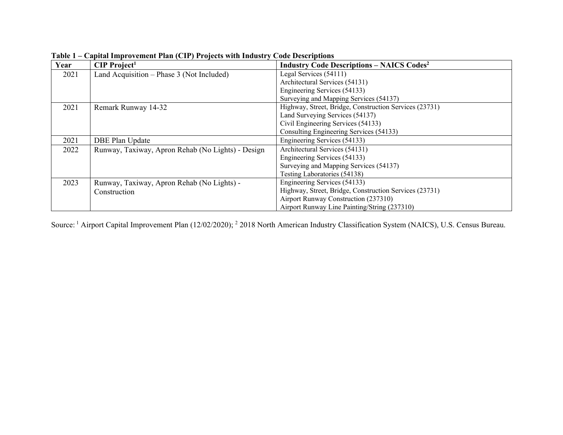| Year | $CIP$ Project <sup>1</sup>                        | <b>Industry Code Descriptions - NAICS Codes<sup>2</sup></b> |
|------|---------------------------------------------------|-------------------------------------------------------------|
| 2021 | Land Acquisition – Phase 3 (Not Included)         | Legal Services (54111)                                      |
|      |                                                   | Architectural Services (54131)                              |
|      |                                                   | Engineering Services (54133)                                |
|      |                                                   | Surveying and Mapping Services (54137)                      |
| 2021 | Remark Runway 14-32                               | Highway, Street, Bridge, Construction Services (23731)      |
|      |                                                   | Land Surveying Services (54137)                             |
|      |                                                   | Civil Engineering Services (54133)                          |
|      |                                                   | Consulting Engineering Services (54133)                     |
| 2021 | <b>DBE Plan Update</b>                            | Engineering Services (54133)                                |
| 2022 | Runway, Taxiway, Apron Rehab (No Lights) - Design | Architectural Services (54131)                              |
|      |                                                   | Engineering Services (54133)                                |
|      |                                                   | Surveying and Mapping Services (54137)                      |
|      |                                                   | Testing Laboratories (54138)                                |
| 2023 | Runway, Taxiway, Apron Rehab (No Lights) -        | Engineering Services (54133)                                |
|      | Construction                                      | Highway, Street, Bridge, Construction Services (23731)      |
|      |                                                   | Airport Runway Construction (237310)                        |
|      |                                                   | Airport Runway Line Painting/String (237310)                |

**Table 1 – Capital Improvement Plan (CIP) Projects with Industry Code Descriptions** 

Source: 1 Airport Capital Improvement Plan (12/02/2020); 2 2018 North American Industry Classification System (NAICS), U.S. Census Bureau.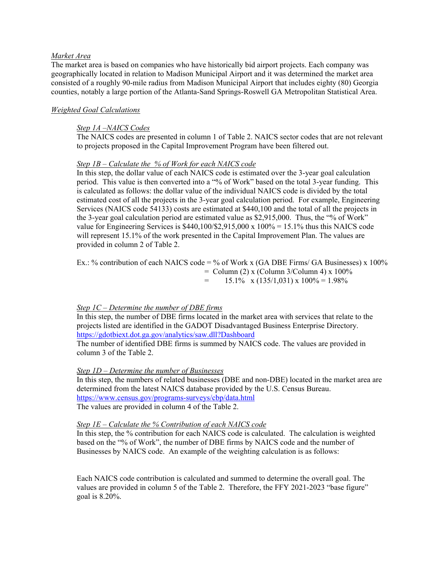#### *Market Area*

The market area is based on companies who have historically bid airport projects. Each company was geographically located in relation to Madison Municipal Airport and it was determined the market area consisted of a roughly 90-mile radius from Madison Municipal Airport that includes eighty (80) Georgia counties, notably a large portion of the Atlanta-Sand Springs-Roswell GA Metropolitan Statistical Area.

#### *Weighted Goal Calculations*

#### *Step 1A –NAICS Codes*

The NAICS codes are presented in column 1 of Table 2. NAICS sector codes that are not relevant to projects proposed in the Capital Improvement Program have been filtered out.

#### *Step 1B – Calculate the % of Work for each NAICS code*

In this step, the dollar value of each NAICS code is estimated over the 3-year goal calculation period. This value is then converted into a "% of Work" based on the total 3-year funding. This is calculated as follows: the dollar value of the individual NAICS code is divided by the total estimated cost of all the projects in the 3-year goal calculation period. For example, Engineering Services (NAICS code 54133) costs are estimated at \$440,100 and the total of all the projects in the 3-year goal calculation period are estimated value as \$2,915,000. Thus, the "% of Work" value for Engineering Services is  $$440,100/\$2,915,000 \times 100\% = 15.1\%$  thus this NAICS code will represent 15.1% of the work presented in the Capital Improvement Plan. The values are provided in column 2 of Table 2.

Ex.: % contribution of each NAICS code = % of Work x (GA DBE Firms/ GA Businesses) x 100%  $=$  Column (2) x (Column 3/Column 4) x 100%  $=$  15.1% x (135/1,031) x 100% = 1.98%

#### *Step 1C – Determine the number of DBE firms*

In this step, the number of DBE firms located in the market area with services that relate to the projects listed are identified in the GADOT Disadvantaged Business Enterprise Directory. https://gdotbiext.dot.ga.gov/analytics/saw.dll?Dashboard

The number of identified DBE firms is summed by NAICS code. The values are provided in column 3 of the Table 2.

#### *Step 1D – Determine the number of Businesses*

In this step, the numbers of related businesses (DBE and non-DBE) located in the market area are determined from the latest NAICS database provided by the U.S. Census Bureau. https://www.census.gov/programs-surveys/cbp/data.html The values are provided in column 4 of the Table 2.

#### *Step 1E – Calculate the % Contribution of each NAICS code*

In this step, the % contribution for each NAICS code is calculated. The calculation is weighted based on the "% of Work", the number of DBE firms by NAICS code and the number of Businesses by NAICS code. An example of the weighting calculation is as follows:

Each NAICS code contribution is calculated and summed to determine the overall goal. The values are provided in column 5 of the Table 2. Therefore, the FFY 2021-2023 "base figure" goal is 8.20%.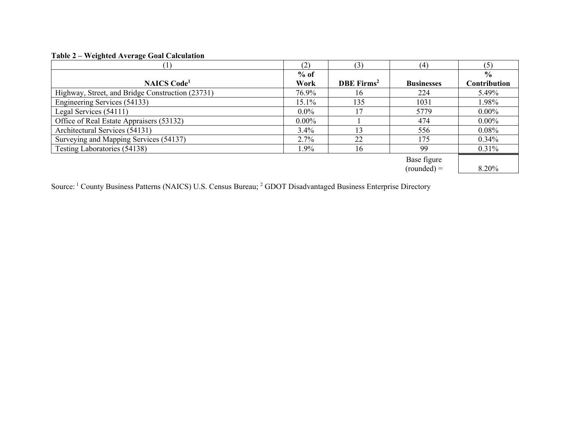# **Table 2 – Weighted Average Goal Calculation**

|                                                  | (2)      | 3)                     | (4)               | (5)           |
|--------------------------------------------------|----------|------------------------|-------------------|---------------|
|                                                  | $%$ of   |                        |                   | $\frac{0}{0}$ |
| <b>NAICS</b> Code <sup>1</sup>                   | Work     | DBE Firms <sup>2</sup> | <b>Businesses</b> | Contribution  |
| Highway, Street, and Bridge Construction (23731) | 76.9%    | 16                     | 224               | 5.49%         |
| Engineering Services (54133)                     | $15.1\%$ | 135                    | 1031              | 1.98%         |
| Legal Services (54111)                           | $0.0\%$  |                        | 5779              | $0.00\%$      |
| Office of Real Estate Appraisers (53132)         | $0.00\%$ |                        | 474               | $0.00\%$      |
| Architectural Services (54131)                   | 3.4%     | 13                     | 556               | $0.08\%$      |
| Surveying and Mapping Services (54137)           | 2.7%     | 22                     | 175               | $0.34\%$      |
| Testing Laboratories (54138)                     | 1.9%     | 16                     | 99                | $0.31\%$      |
|                                                  |          |                        | Base figure       |               |
|                                                  |          |                        | $(rounded) =$     | 8.20%         |

Source: <sup>1</sup> County Business Patterns (NAICS) U.S. Census Bureau; <sup>2</sup> GDOT Disadvantaged Business Enterprise Directory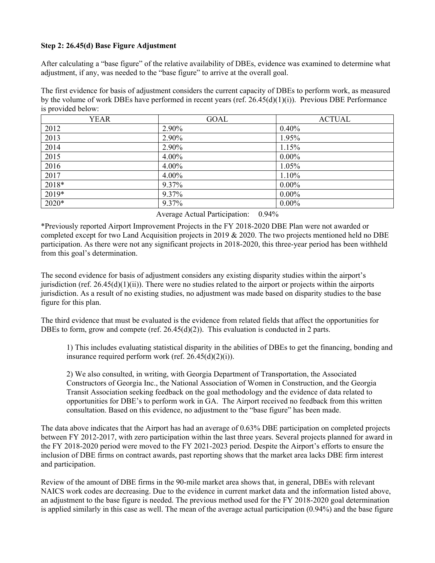# **Step 2: 26.45(d) Base Figure Adjustment**

After calculating a "base figure" of the relative availability of DBEs, evidence was examined to determine what adjustment, if any, was needed to the "base figure" to arrive at the overall goal.

The first evidence for basis of adjustment considers the current capacity of DBEs to perform work, as measured by the volume of work DBEs have performed in recent years (ref.  $26.45(d)(1)(i)$ ). Previous DBE Performance is provided below:

| <b>YEAR</b> | GOAL  | <b>ACTUAL</b> |
|-------------|-------|---------------|
| 2012        | 2.90% | 0.40%         |
| 2013        | 2.90% | 1.95%         |
| 2014        | 2.90% | 1.15%         |
| 2015        | 4.00% | $0.00\%$      |
| 2016        | 4.00% | 1.05%         |
| 2017        | 4.00% | 1.10%         |
| 2018*       | 9.37% | $0.00\%$      |
| 2019*       | 9.37% | $0.00\%$      |
| 2020*       | 9.37% | $0.00\%$      |

Average Actual Participation: 0.94%

\*Previously reported Airport Improvement Projects in the FY 2018-2020 DBE Plan were not awarded or completed except for two Land Acquisition projects in 2019 & 2020. The two projects mentioned held no DBE participation. As there were not any significant projects in 2018-2020, this three-year period has been withheld from this goal's determination.

The second evidence for basis of adjustment considers any existing disparity studies within the airport's jurisdiction (ref.  $26.45(d)(1)(ii)$ ). There were no studies related to the airport or projects within the airports jurisdiction. As a result of no existing studies, no adjustment was made based on disparity studies to the base figure for this plan.

The third evidence that must be evaluated is the evidence from related fields that affect the opportunities for DBEs to form, grow and compete (ref. 26.45(d)(2)). This evaluation is conducted in 2 parts.

1) This includes evaluating statistical disparity in the abilities of DBEs to get the financing, bonding and insurance required perform work (ref.  $26.45(d)(2)(i)$ ).

2) We also consulted, in writing, with Georgia Department of Transportation, the Associated Constructors of Georgia Inc., the National Association of Women in Construction, and the Georgia Transit Association seeking feedback on the goal methodology and the evidence of data related to opportunities for DBE's to perform work in GA. The Airport received no feedback from this written consultation. Based on this evidence, no adjustment to the "base figure" has been made.

The data above indicates that the Airport has had an average of 0.63% DBE participation on completed projects between FY 2012-2017, with zero participation within the last three years. Several projects planned for award in the FY 2018-2020 period were moved to the FY 2021-2023 period. Despite the Airport's efforts to ensure the inclusion of DBE firms on contract awards, past reporting shows that the market area lacks DBE firm interest and participation.

Review of the amount of DBE firms in the 90-mile market area shows that, in general, DBEs with relevant NAICS work codes are decreasing. Due to the evidence in current market data and the information listed above, an adjustment to the base figure is needed. The previous method used for the FY 2018-2020 goal determination is applied similarly in this case as well. The mean of the average actual participation (0.94%) and the base figure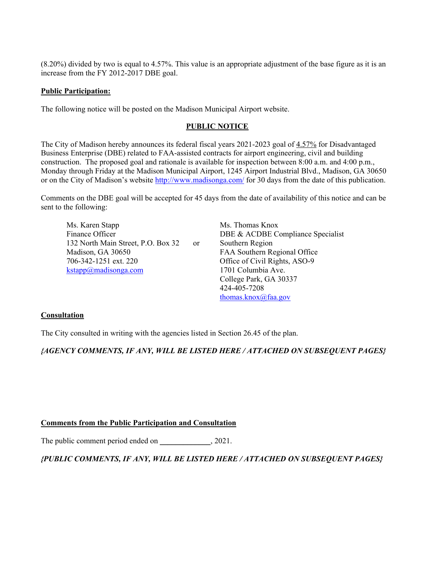(8.20%) divided by two is equal to 4.57%. This value is an appropriate adjustment of the base figure as it is an increase from the FY 2012-2017 DBE goal.

#### **Public Participation:**

The following notice will be posted on the Madison Municipal Airport website.

#### **PUBLIC NOTICE**

The City of Madison hereby announces its federal fiscal years 2021-2023 goal of 4.57% for Disadvantaged Business Enterprise (DBE) related to FAA-assisted contracts for airport engineering, civil and building construction. The proposed goal and rationale is available for inspection between 8:00 a.m. and 4:00 p.m., Monday through Friday at the Madison Municipal Airport, 1245 Airport Industrial Blvd., Madison, GA 30650 or on the City of Madison's website http://www.madisonga.com/ for 30 days from the date of this publication.

Comments on the DBE goal will be accepted for 45 days from the date of availability of this notice and can be sent to the following:

Ms. Karen Stapp Ms. Thomas Knox Finance Officer DBE & ACDBE Compliance Specialist 132 North Main Street, P.O. Box 32 or Southern Region Madison, GA 30650 FAA Southern Regional Office 706-342-1251 ext. 220 Office of Civil Rights, ASO-9 kstapp@madisonga.com 1701 Columbia Ave.

 College Park, GA 30337 424-405-7208 thomas.knox@faa.gov

### **Consultation**

The City consulted in writing with the agencies listed in Section 26.45 of the plan.

*{AGENCY COMMENTS, IF ANY, WILL BE LISTED HERE / ATTACHED ON SUBSEQUENT PAGES}* 

### **Comments from the Public Participation and Consultation**

The public comment period ended on \_\_\_\_\_\_\_\_\_\_\_\_, 2021.

# *{PUBLIC COMMENTS, IF ANY, WILL BE LISTED HERE / ATTACHED ON SUBSEQUENT PAGES}*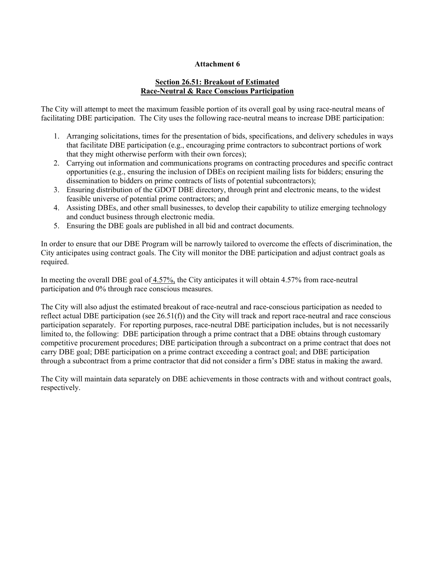## **Attachment 6**

# **Section 26.51: Breakout of Estimated Race-Neutral & Race Conscious Participation**

The City will attempt to meet the maximum feasible portion of its overall goal by using race-neutral means of facilitating DBE participation. The City uses the following race-neutral means to increase DBE participation:

- 1. Arranging solicitations, times for the presentation of bids, specifications, and delivery schedules in ways that facilitate DBE participation (e.g., encouraging prime contractors to subcontract portions of work that they might otherwise perform with their own forces);
- 2. Carrying out information and communications programs on contracting procedures and specific contract opportunities (e.g., ensuring the inclusion of DBEs on recipient mailing lists for bidders; ensuring the dissemination to bidders on prime contracts of lists of potential subcontractors);
- 3. Ensuring distribution of the GDOT DBE directory, through print and electronic means, to the widest feasible universe of potential prime contractors; and
- 4. Assisting DBEs, and other small businesses, to develop their capability to utilize emerging technology and conduct business through electronic media.
- 5. Ensuring the DBE goals are published in all bid and contract documents.

In order to ensure that our DBE Program will be narrowly tailored to overcome the effects of discrimination, the City anticipates using contract goals. The City will monitor the DBE participation and adjust contract goals as required.

In meeting the overall DBE goal of  $4.57\%$ , the City anticipates it will obtain 4.57% from race-neutral participation and 0% through race conscious measures.

The City will also adjust the estimated breakout of race-neutral and race-conscious participation as needed to reflect actual DBE participation (see  $26.51(f)$ ) and the City will track and report race-neutral and race conscious participation separately. For reporting purposes, race-neutral DBE participation includes, but is not necessarily limited to, the following: DBE participation through a prime contract that a DBE obtains through customary competitive procurement procedures; DBE participation through a subcontract on a prime contract that does not carry DBE goal; DBE participation on a prime contract exceeding a contract goal; and DBE participation through a subcontract from a prime contractor that did not consider a firm's DBE status in making the award.

The City will maintain data separately on DBE achievements in those contracts with and without contract goals, respectively.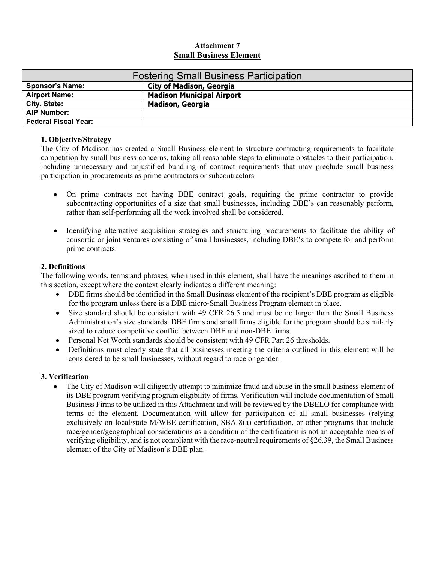# **Attachment 7 Small Business Element**

| <b>Fostering Small Business Participation</b> |                                  |  |
|-----------------------------------------------|----------------------------------|--|
| <b>Sponsor's Name:</b>                        | <b>City of Madison, Georgia</b>  |  |
| <b>Airport Name:</b>                          | <b>Madison Municipal Airport</b> |  |
| City, State:                                  | <b>Madison, Georgia</b>          |  |
| <b>AIP Number:</b>                            |                                  |  |
| <b>Federal Fiscal Year:</b>                   |                                  |  |

### **1. Objective/Strategy**

The City of Madison has created a Small Business element to structure contracting requirements to facilitate competition by small business concerns, taking all reasonable steps to eliminate obstacles to their participation, including unnecessary and unjustified bundling of contract requirements that may preclude small business participation in procurements as prime contractors or subcontractors

- On prime contracts not having DBE contract goals, requiring the prime contractor to provide subcontracting opportunities of a size that small businesses, including DBE's can reasonably perform, rather than self-performing all the work involved shall be considered.
- Identifying alternative acquisition strategies and structuring procurements to facilitate the ability of consortia or joint ventures consisting of small businesses, including DBE's to compete for and perform prime contracts.

# **2. Definitions**

The following words, terms and phrases, when used in this element, shall have the meanings ascribed to them in this section, except where the context clearly indicates a different meaning:

- DBE firms should be identified in the Small Business element of the recipient's DBE program as eligible for the program unless there is a DBE micro-Small Business Program element in place.
- Size standard should be consistent with 49 CFR 26.5 and must be no larger than the Small Business Administration's size standards. DBE firms and small firms eligible for the program should be similarly sized to reduce competitive conflict between DBE and non-DBE firms.
- Personal Net Worth standards should be consistent with 49 CFR Part 26 thresholds.
- Definitions must clearly state that all businesses meeting the criteria outlined in this element will be considered to be small businesses, without regard to race or gender.

# **3. Verification**

• The City of Madison will diligently attempt to minimize fraud and abuse in the small business element of its DBE program verifying program eligibility of firms. Verification will include documentation of Small Business Firms to be utilized in this Attachment and will be reviewed by the DBELO for compliance with terms of the element. Documentation will allow for participation of all small businesses (relying exclusively on local/state M/WBE certification, SBA 8(a) certification, or other programs that include race/gender/geographical considerations as a condition of the certification is not an acceptable means of verifying eligibility, and is not compliant with the race-neutral requirements of §26.39, the Small Business element of the City of Madison's DBE plan.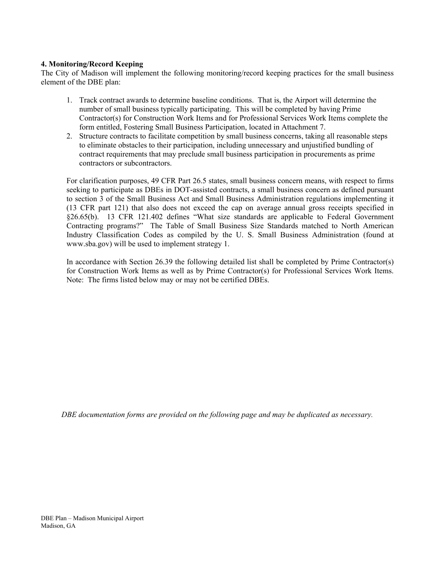# **4. Monitoring/Record Keeping**

The City of Madison will implement the following monitoring/record keeping practices for the small business element of the DBE plan:

- 1. Track contract awards to determine baseline conditions. That is, the Airport will determine the number of small business typically participating. This will be completed by having Prime Contractor(s) for Construction Work Items and for Professional Services Work Items complete the form entitled, Fostering Small Business Participation, located in Attachment 7.
- 2. Structure contracts to facilitate competition by small business concerns, taking all reasonable steps to eliminate obstacles to their participation, including unnecessary and unjustified bundling of contract requirements that may preclude small business participation in procurements as prime contractors or subcontractors.

For clarification purposes, 49 CFR Part 26.5 states, small business concern means, with respect to firms seeking to participate as DBEs in DOT-assisted contracts, a small business concern as defined pursuant to section 3 of the Small Business Act and Small Business Administration regulations implementing it (13 CFR part 121) that also does not exceed the cap on average annual gross receipts specified in §26.65(b). 13 CFR 121.402 defines "What size standards are applicable to Federal Government Contracting programs?" The Table of Small Business Size Standards matched to North American Industry Classification Codes as compiled by the U. S. Small Business Administration (found at www.sba.gov) will be used to implement strategy 1.

In accordance with Section 26.39 the following detailed list shall be completed by Prime Contractor(s) for Construction Work Items as well as by Prime Contractor(s) for Professional Services Work Items. Note: The firms listed below may or may not be certified DBEs.

*DBE documentation forms are provided on the following page and may be duplicated as necessary.*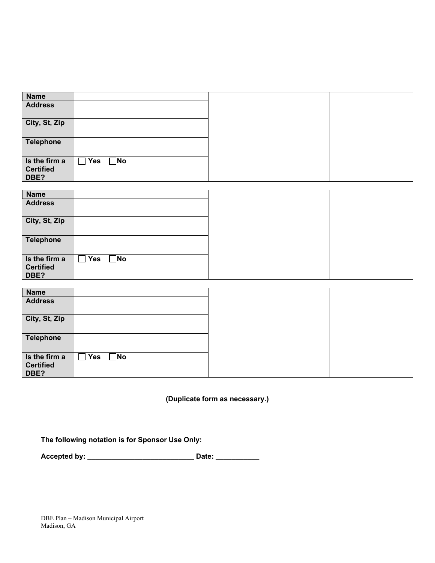| <b>Name</b>                               |                            |  |
|-------------------------------------------|----------------------------|--|
| <b>Address</b>                            |                            |  |
| City, St, Zip                             |                            |  |
| <b>Telephone</b>                          |                            |  |
| Is the firm a<br><b>Certified</b><br>DBE? | $\square$ No<br><b>Yes</b> |  |

| <b>Name</b>                               |                            |  |
|-------------------------------------------|----------------------------|--|
| <b>Address</b>                            |                            |  |
| City, St, Zip                             |                            |  |
| <b>Telephone</b>                          |                            |  |
| Is the firm a<br><b>Certified</b><br>DBE? | $\square$ No<br><b>Yes</b> |  |

| <b>Name</b>      |                            |  |
|------------------|----------------------------|--|
| <b>Address</b>   |                            |  |
|                  |                            |  |
| City, St, Zip    |                            |  |
|                  |                            |  |
| <b>Telephone</b> |                            |  |
|                  |                            |  |
|                  |                            |  |
| Is the firm a    | $\square$ No<br><b>Yes</b> |  |
| <b>Certified</b> |                            |  |
| DBE?             |                            |  |

**(Duplicate form as necessary.)** 

**The following notation is for Sponsor Use Only:** 

**Accepted by: \_\_\_\_\_\_\_\_\_\_\_\_\_\_\_\_\_\_\_\_\_\_\_\_\_\_\_ Date: \_\_\_\_\_\_\_\_\_\_\_** 

DBE Plan – Madison Municipal Airport Madison, GA